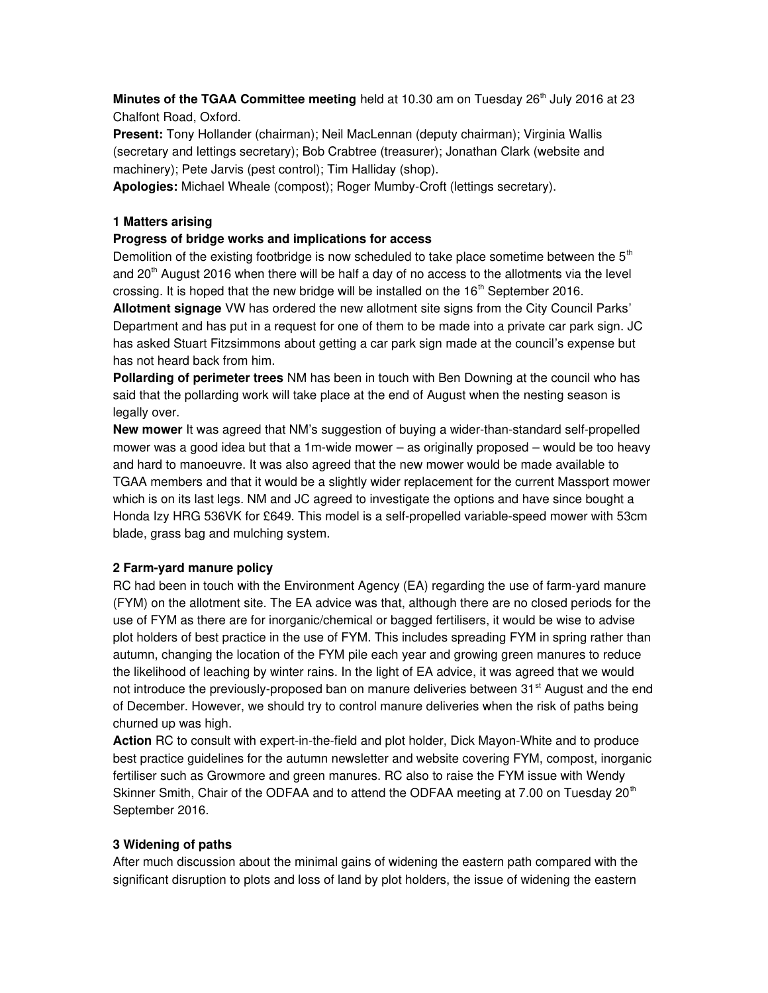**Minutes of the TGAA Committee meeting** held at 10.30 am on Tuesday  $26<sup>th</sup>$  July 2016 at 23 Chalfont Road, Oxford.

Present: Tony Hollander (chairman); Neil MacLennan (deputy chairman); Virginia Wallis (secretary and lettings secretary); Bob Crabtree (treasurer); Jonathan Clark (website and machinery); Pete Jarvis (pest control); Tim Halliday (shop).

Apologies: Michael Wheale (compost); Roger Mumby-Croft (lettings secretary).

## 1 Matters arising

## Progress of bridge works and implications for access

Demolition of the existing footbridge is now scheduled to take place sometime between the  $5<sup>th</sup>$ and  $20<sup>th</sup>$  August 2016 when there will be half a day of no access to the allotments via the level crossing. It is hoped that the new bridge will be installed on the  $16<sup>th</sup>$  September 2016.

Allotment signage VW has ordered the new allotment site signs from the City Council Parks' Department and has put in a request for one of them to be made into a private car park sign. JC has asked Stuart Fitzsimmons about getting a car park sign made at the council's expense but has not heard back from him.

**Pollarding of perimeter trees** NM has been in touch with Ben Downing at the council who has said that the pollarding work will take place at the end of August when the nesting season is legally over.

New mower It was agreed that NM's suggestion of buying a wider-than-standard self-propelled mower was a good idea but that a 1m-wide mower – as originally proposed – would be too heavy and hard to manoeuvre. It was also agreed that the new mower would be made available to TGAA members and that it would be a slightly wider replacement for the current Massport mower which is on its last legs. NM and JC agreed to investigate the options and have since bought a Honda Izy HRG 536VK for £649. This model is a self-propelled variable-speed mower with 53cm blade, grass bag and mulching system.

# 2 Farm-yard manure policy

RC had been in touch with the Environment Agency (EA) regarding the use of farm-yard manure (FYM) on the allotment site. The EA advice was that, although there are no closed periods for the use of FYM as there are for inorganic/chemical or bagged fertilisers, it would be wise to advise plot holders of best practice in the use of FYM. This includes spreading FYM in spring rather than autumn, changing the location of the FYM pile each year and growing green manures to reduce the likelihood of leaching by winter rains. In the light of EA advice, it was agreed that we would not introduce the previously-proposed ban on manure deliveries between  $31<sup>st</sup>$  August and the end of December. However, we should try to control manure deliveries when the risk of paths being churned up was high.

Action RC to consult with expert-in-the-field and plot holder, Dick Mayon-White and to produce best practice guidelines for the autumn newsletter and website covering FYM, compost, inorganic fertiliser such as Growmore and green manures. RC also to raise the FYM issue with Wendy Skinner Smith, Chair of the ODFAA and to attend the ODFAA meeting at 7.00 on Tuesday 20<sup>th</sup> September 2016.

# 3 Widening of paths

After much discussion about the minimal gains of widening the eastern path compared with the significant disruption to plots and loss of land by plot holders, the issue of widening the eastern